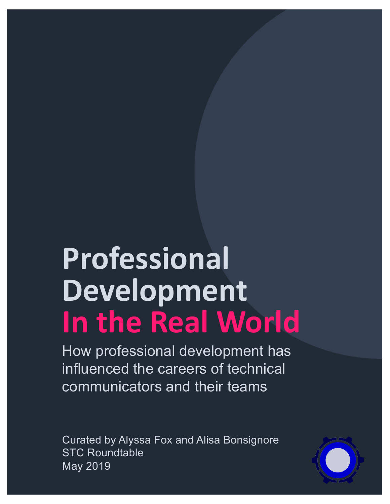# **Professional Development In the Real World**

How professional development has influenced the careers of technical communicators and their teams

Curated by Alyssa Fox and Alisa Bonsignore STC Roundtable May 2019

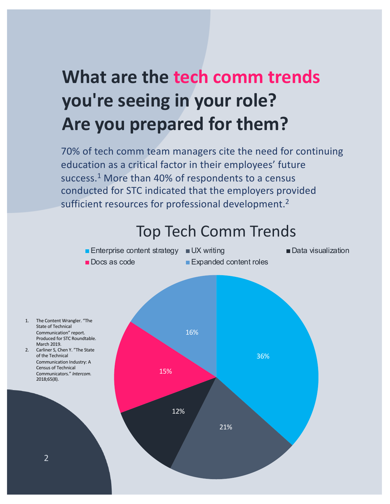# **What are the tech comm trends you're seeing in your role? Are you prepared for them?**

70% of tech comm team managers cite the need for continuing education as a critical factor in their employees' future success.<sup>1</sup> More than 40% of respondents to a census conducted for STC indicated that the employers provided sufficient resources for professional development.<sup>2</sup>

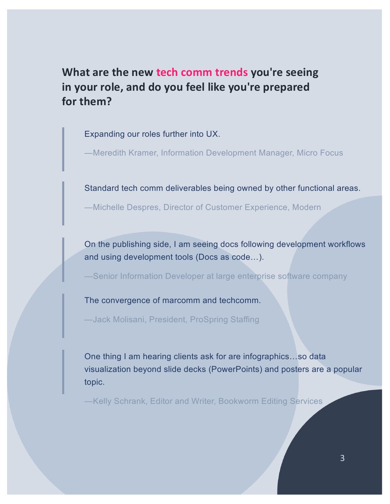**What are the new tech comm trends you're seeing in your role, and do you feel like you're prepared for them?**

Expanding our roles further into UX.

—Meredith Kramer, Information Development Manager, Micro Focus

Standard tech comm deliverables being owned by other functional areas.

—Michelle Despres, Director of Customer Experience, Modern

On the publishing side, I am seeing docs following development workflows and using development tools (Docs as code…).

—Senior Information Developer at large enterprise software company

The convergence of marcomm and techcomm.

—Jack Molisani, President, ProSpring Staffing

One thing I am hearing clients ask for are infographics…so data visualization beyond slide decks (PowerPoints) and posters are a popular topic.

—Kelly Schrank, Editor and Writer, Bookworm Editing Services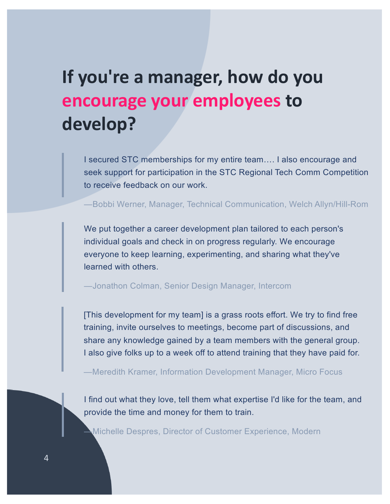### **If you're a manager, how do you encourage your employees to develop?**

I secured STC memberships for my entire team…. I also encourage and seek support for participation in the STC Regional Tech Comm Competition to receive feedback on our work.

—Bobbi Werner, Manager, Technical Communication, Welch Allyn/Hill-Rom

We put together a career development plan tailored to each person's individual goals and check in on progress regularly. We encourage everyone to keep learning, experimenting, and sharing what they've learned with others.

—Jonathon Colman, Senior Design Manager, Intercom

[This development for my team] is a grass roots effort. We try to find free training, invite ourselves to meetings, become part of discussions, and share any knowledge gained by a team members with the general group. I also give folks up to a week off to attend training that they have paid for.

—Meredith Kramer, Information Development Manager, Micro Focus

I find out what they love, tell them what expertise I'd like for the team, and provide the time and money for them to train.

—Michelle Despres, Director of Customer Experience, Modern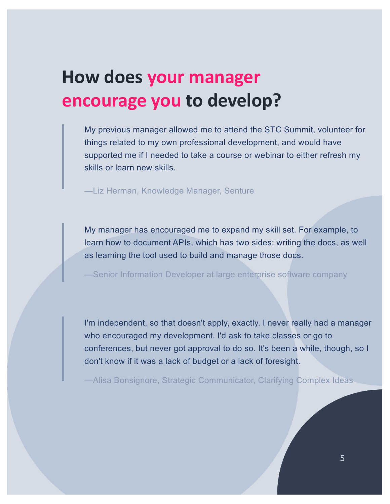#### **How does your manager encourage you to develop?**

My previous manager allowed me to attend the STC Summit, volunteer for things related to my own professional development, and would have supported me if I needed to take a course or webinar to either refresh my skills or learn new skills.

—Liz Herman, Knowledge Manager, Senture

My manager has encouraged me to expand my skill set. For example, to learn how to document APIs, which has two sides: writing the docs, as well as learning the tool used to build and manage those docs.

—Senior Information Developer at large enterprise software company

I'm independent, so that doesn't apply, exactly. I never really had a manager who encouraged my development. I'd ask to take classes or go to conferences, but never got approval to do so. It's been a while, though, so I don't know if it was a lack of budget or a lack of foresight.

—Alisa Bonsignore, Strategic Communicator, Clarifying Complex Ideas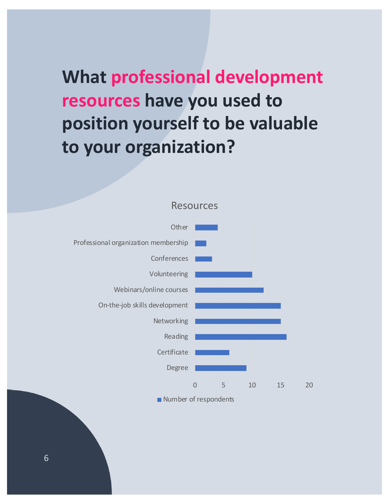# **What professional development resources have you used to position yourself to be valuable to your organization?**



Resources

Number of respondents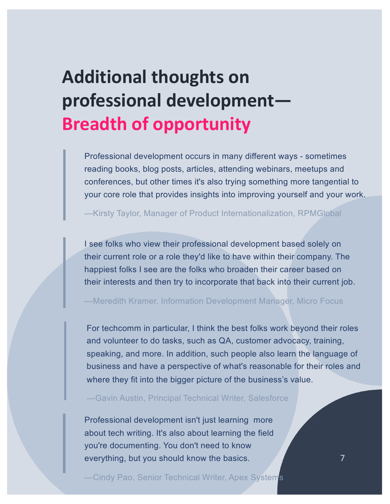# **Additional thoughts on professional development— Breadth of opportunity**

Professional development occurs in many different ways - sometimes reading books, blog posts, articles, attending webinars, meetups and conferences, but other times it's also trying something more tangential to your core role that provides insights into improving yourself and your work.

—Kirsty Taylor, Manager of Product Internationalization, RPMGlobal

I see folks who view their professional development based solely on their current role or a role they'd like to have within their company. The happiest folks I see are the folks who broaden their career based on their interests and then try to incorporate that back into their current job.

—Meredith Kramer, Information Development Manager, Micro Focus

For techcomm in particular, I think the best folks work beyond their roles and volunteer to do tasks, such as QA, customer advocacy, training, speaking, and more. In addition, such people also learn the language of business and have a perspective of what's reasonable for their roles and where they fit into the bigger picture of the business's value.

—Gavin Austin, Principal Technical Writer, Salesforce

Professional development isn't just learning more about tech writing. It's also about learning the field you're documenting. You don't need to know everything, but you should know the basics.

—Cindy Pao, Senior Technical Writer, Apex Systems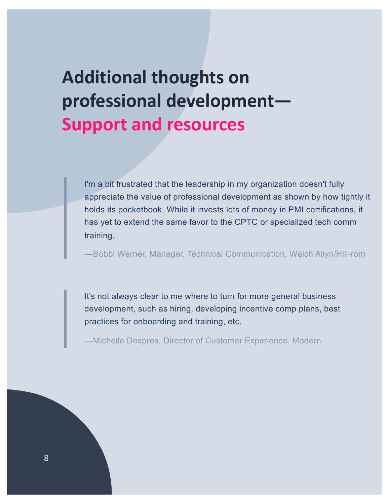#### **Additional thoughts on professional development— Support and resources**

I'm a bit frustrated that the leadership in my organization doesn't fully appreciate the value of professional development as shown by how tightly it holds its pocketbook. While it invests lots of money in PMI certifications, it has yet to extend the same favor to the CPTC or specialized tech comm training.

—Bobbi Werner, Manager, Technical Communication, Welch Allyn/Hill-rom

It's not always clear to me where to turn for more general business development, such as hiring, developing incentive comp plans, best practices for onboarding and training, etc.

—Michelle Despres, Director of Customer Experience, Modern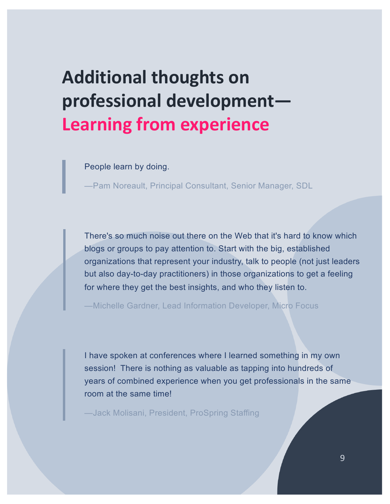## **Additional thoughts on professional development— Learning from experience**

People learn by doing.

—Pam Noreault, Principal Consultant, Senior Manager, SDL

There's so much noise out there on the Web that it's hard to know which blogs or groups to pay attention to. Start with the big, established organizations that represent your industry, talk to people (not just leaders but also day-to-day practitioners) in those organizations to get a feeling for where they get the best insights, and who they listen to.

—Michelle Gardner, Lead Information Developer, Micro Focus

I have spoken at conferences where I learned something in my own session! There is nothing as valuable as tapping into hundreds of years of combined experience when you get professionals in the same room at the same time!

—Jack Molisani, President, ProSpring Staffing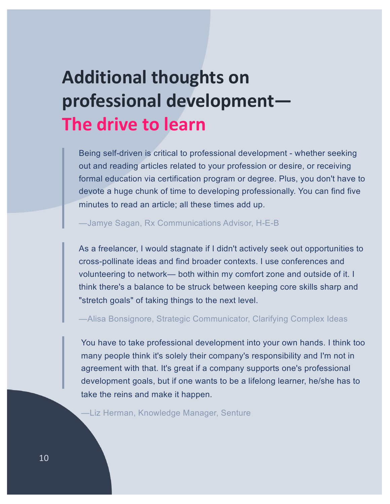#### **Additional thoughts on professional development— The drive to learn**

Being self-driven is critical to professional development - whether seeking out and reading articles related to your profession or desire, or receiving formal education via certification program or degree. Plus, you don't have to devote a huge chunk of time to developing professionally. You can find five minutes to read an article; all these times add up.

—Jamye Sagan, Rx Communications Advisor, H-E-B

As a freelancer, I would stagnate if I didn't actively seek out opportunities to cross-pollinate ideas and find broader contexts. I use conferences and volunteering to network— both within my comfort zone and outside of it. I think there's a balance to be struck between keeping core skills sharp and "stretch goals" of taking things to the next level.

—Alisa Bonsignore, Strategic Communicator, Clarifying Complex Ideas

You have to take professional development into your own hands. I think too many people think it's solely their company's responsibility and I'm not in agreement with that. It's great if a company supports one's professional development goals, but if one wants to be a lifelong learner, he/she has to take the reins and make it happen.

—Liz Herman, Knowledge Manager, Senture